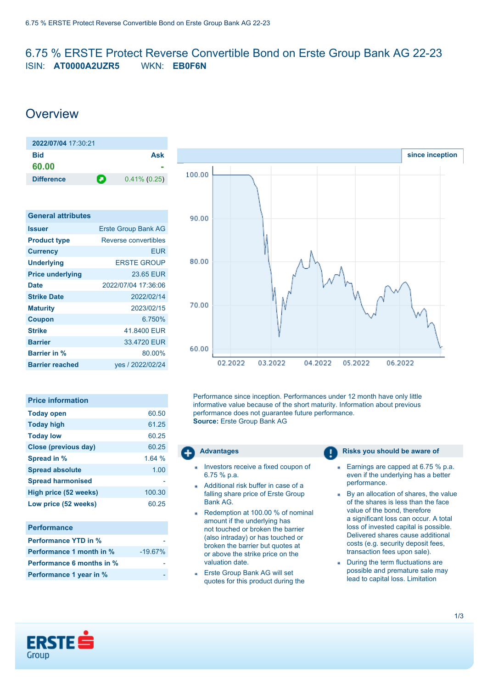## <span id="page-0-0"></span>6.75 % ERSTE Protect Reverse Convertible Bond on Erste Group Bank AG 22-23 ISIN: **AT0000A2UZR5** WKN: **EB0F6N**

# **Overview**

| 2022/07/04 17:30:21 |   |                 |
|---------------------|---|-----------------|
| Bid                 |   | Ask             |
| 60.00               |   |                 |
| <b>Difference</b>   | л | $0.41\%$ (0.25) |

| <b>General attributes</b> |                            |
|---------------------------|----------------------------|
| <b>Issuer</b>             | <b>Erste Group Bank AG</b> |
| <b>Product type</b>       | Reverse convertibles       |
| <b>Currency</b>           | EUR                        |
| <b>Underlying</b>         | <b>ERSTE GROUP</b>         |
| <b>Price underlying</b>   | 23.65 EUR                  |
| <b>Date</b>               | 2022/07/04 17:36:06        |
| <b>Strike Date</b>        | 2022/02/14                 |
| <b>Maturity</b>           | 2023/02/15                 |
| <b>Coupon</b>             | 6.750%                     |
| <b>Strike</b>             | 41.8400 EUR                |
| <b>Barrier</b>            | 33.4720 EUR                |
| <b>Barrier in %</b>       | 80.00%                     |
| <b>Barrier reached</b>    | yes / 2022/02/24           |

| <b>Price information</b> |        |
|--------------------------|--------|
| <b>Today open</b>        | 60.50  |
| <b>Today high</b>        | 61.25  |
| <b>Today low</b>         | 60.25  |
| Close (previous day)     | 60.25  |
| Spread in %              | 1.64%  |
| <b>Spread absolute</b>   | 1.00   |
| <b>Spread harmonised</b> |        |
| High price (52 weeks)    | 100.30 |
| Low price (52 weeks)     | 60.25  |
|                          |        |

| <b>Performance</b>               |           |
|----------------------------------|-----------|
| <b>Performance YTD in %</b>      |           |
| <b>Performance 1 month in %</b>  | $-19.67%$ |
| <b>Performance 6 months in %</b> |           |
| Performance 1 year in %          |           |



Performance since inception. Performances under 12 month have only little informative value because of the short maturity. Information about previous performance does not guarantee future performance. **Source:** Erste Group Bank AG

- Investors receive a fixed coupon of 6.75 % p.a.
- Additional risk buffer in case of a falling share price of Erste Group Bank AG.
- Redemption at 100.00 % of nominal amount if the underlying has not touched or broken the barrier (also intraday) or has touched or broken the barrier but quotes at or above the strike price on the valuation date.
- Erste Group Bank AG will set quotes for this product during the

### **Advantages Risks** you should be aware of

- Earnings are capped at 6.75 % p.a. even if the underlying has a better performance.
- By an allocation of shares, the value of the shares is less than the face value of the bond, therefore a significant loss can occur. A total loss of invested capital is possible. Delivered shares cause additional costs (e.g. security deposit fees, transaction fees upon sale).
- During the term fluctuations are possible and premature sale may lead to capital loss. Limitation

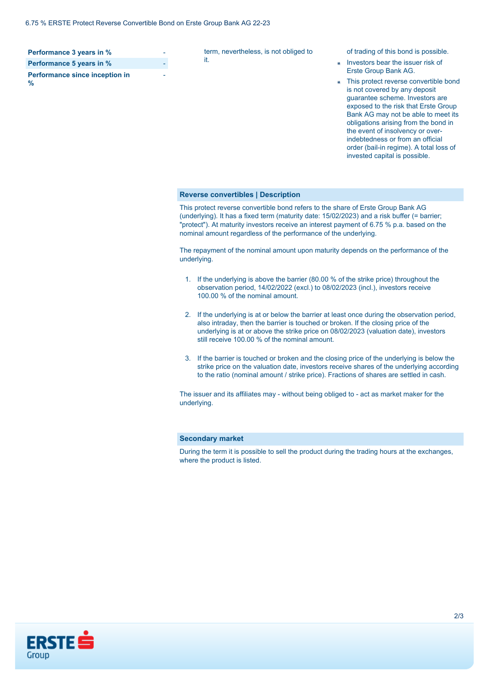| Performance 3 years in %               |  |
|----------------------------------------|--|
| Performance 5 years in %               |  |
| Performance since inception in<br>$\%$ |  |

term, nevertheless, is not obliged to it.

of trading of this bond is possible.

- Investors bear the issuer risk of  $\overline{a}$ Erste Group Bank AG.
- This protect reverse convertible bond is not covered by any deposit guarantee scheme. Investors are exposed to the risk that Erste Group Bank AG may not be able to meet its obligations arising from the bond in the event of insolvency or overindebtedness or from an official order (bail-in regime). A total loss of invested capital is possible.

#### **Reverse convertibles | Description**

This protect reverse convertible bond refers to the share of Erste Group Bank AG (underlying). It has a fixed term (maturity date: 15/02/2023) and a risk buffer (= barrier; "protect"). At maturity investors receive an interest payment of 6.75 % p.a. based on the nominal amount regardless of the performance of the underlying.

The repayment of the nominal amount upon maturity depends on the performance of the underlying.

- 1. If the underlying is above the barrier (80.00 % of the strike price) throughout the observation period, 14/02/2022 (excl.) to 08/02/2023 (incl.), investors receive 100.00 % of the nominal amount.
- 2. If the underlying is at or below the barrier at least once during the observation period, also intraday, then the barrier is touched or broken. If the closing price of the underlying is at or above the strike price on 08/02/2023 (valuation date), investors still receive 100.00 % of the nominal amount.
- 3. If the barrier is touched or broken and the closing price of the underlying is below the strike price on the valuation date, investors receive shares of the underlying according to the ratio (nominal amount / strike price). Fractions of shares are settled in cash.

The issuer and its affiliates may - without being obliged to - act as market maker for the underlying.

#### **Secondary market**

During the term it is possible to sell the product during the trading hours at the exchanges, where the product is listed.